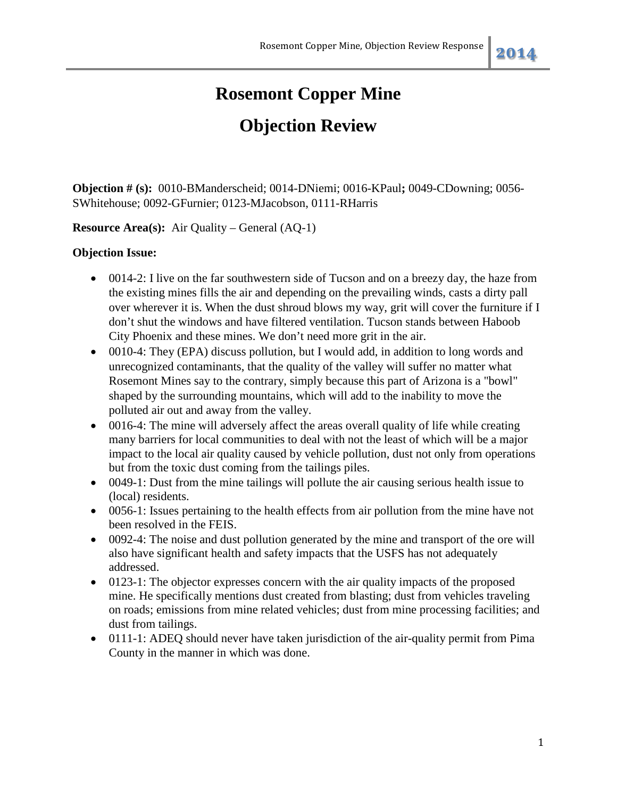## **Objection Review**

**Objection # (s):** 0010-BManderscheid; 0014-DNiemi; 0016-KPaul**;** 0049-CDowning; 0056- SWhitehouse; 0092-GFurnier; 0123-MJacobson, 0111-RHarris

**Resource Area(s):** Air Quality – General (AQ-1)

## **Objection Issue:**

- 0014-2: I live on the far southwestern side of Tucson and on a breezy day, the haze from the existing mines fills the air and depending on the prevailing winds, casts a dirty pall over wherever it is. When the dust shroud blows my way, grit will cover the furniture if I don't shut the windows and have filtered ventilation. Tucson stands between Haboob City Phoenix and these mines. We don't need more grit in the air.
- 0010-4: They (EPA) discuss pollution, but I would add, in addition to long words and unrecognized contaminants, that the quality of the valley will suffer no matter what Rosemont Mines say to the contrary, simply because this part of Arizona is a "bowl" shaped by the surrounding mountains, which will add to the inability to move the polluted air out and away from the valley.
- 0016-4: The mine will adversely affect the areas overall quality of life while creating many barriers for local communities to deal with not the least of which will be a major impact to the local air quality caused by vehicle pollution, dust not only from operations but from the toxic dust coming from the tailings piles.
- 0049-1: Dust from the mine tailings will pollute the air causing serious health issue to (local) residents.
- 0056-1: Issues pertaining to the health effects from air pollution from the mine have not been resolved in the FEIS.
- 0092-4: The noise and dust pollution generated by the mine and transport of the ore will also have significant health and safety impacts that the USFS has not adequately addressed.
- 0123-1: The objector expresses concern with the air quality impacts of the proposed mine. He specifically mentions dust created from blasting; dust from vehicles traveling on roads; emissions from mine related vehicles; dust from mine processing facilities; and dust from tailings.
- 0111-1: ADEO should never have taken jurisdiction of the air-quality permit from Pima County in the manner in which was done.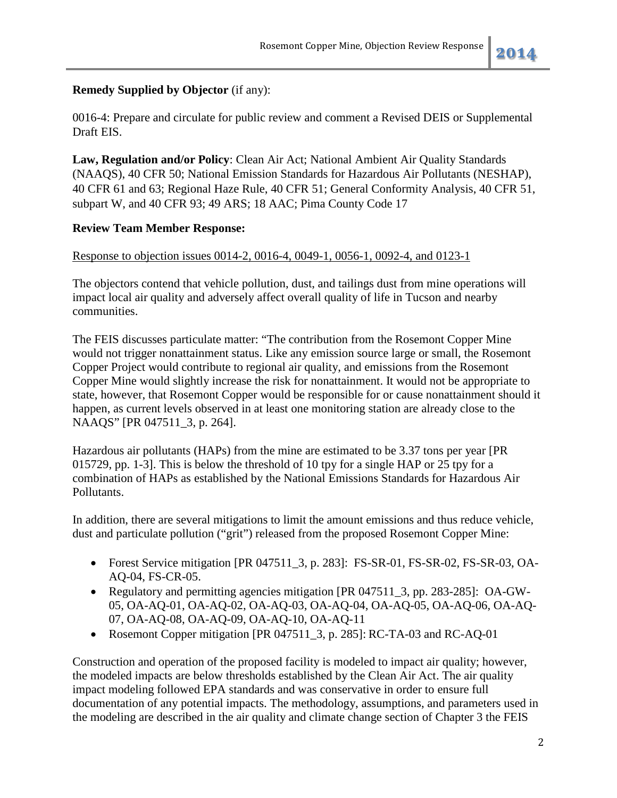## **Remedy Supplied by Objector** (if any):

0016-4: Prepare and circulate for public review and comment a Revised DEIS or Supplemental Draft EIS.

**Law, Regulation and/or Policy**: Clean Air Act; National Ambient Air Quality Standards (NAAQS), 40 CFR 50; National Emission Standards for Hazardous Air Pollutants (NESHAP), 40 CFR 61 and 63; Regional Haze Rule, 40 CFR 51; General Conformity Analysis, 40 CFR 51, subpart W, and 40 CFR 93; 49 ARS; 18 AAC; Pima County Code 17

## **Review Team Member Response:**

## Response to objection issues 0014-2, 0016-4, 0049-1, 0056-1, 0092-4, and 0123-1

The objectors contend that vehicle pollution, dust, and tailings dust from mine operations will impact local air quality and adversely affect overall quality of life in Tucson and nearby communities.

The FEIS discusses particulate matter: "The contribution from the Rosemont Copper Mine would not trigger nonattainment status. Like any emission source large or small, the Rosemont Copper Project would contribute to regional air quality, and emissions from the Rosemont Copper Mine would slightly increase the risk for nonattainment. It would not be appropriate to state, however, that Rosemont Copper would be responsible for or cause nonattainment should it happen, as current levels observed in at least one monitoring station are already close to the NAAQS" [PR 047511\_3, p. 264].

Hazardous air pollutants (HAPs) from the mine are estimated to be 3.37 tons per year [PR 015729, pp. 1-3]. This is below the threshold of 10 tpy for a single HAP or 25 tpy for a combination of HAPs as established by the National Emissions Standards for Hazardous Air Pollutants.

In addition, there are several mitigations to limit the amount emissions and thus reduce vehicle, dust and particulate pollution ("grit") released from the proposed Rosemont Copper Mine:

- Forest Service mitigation [PR 047511\_3, p. 283]: FS-SR-01, FS-SR-02, FS-SR-03, OA-AQ-04, FS-CR-05.
- Regulatory and permitting agencies mitigation [PR 047511\_3, pp. 283-285]: OA-GW-05, OA-AQ-01, OA-AQ-02, OA-AQ-03, OA-AQ-04, OA-AQ-05, OA-AQ-06, OA-AQ-07, OA-AQ-08, OA-AQ-09, OA-AQ-10, OA-AQ-11
- Rosemont Copper mitigation [PR 047511 3, p. 285]: RC-TA-03 and RC-AQ-01

Construction and operation of the proposed facility is modeled to impact air quality; however, the modeled impacts are below thresholds established by the Clean Air Act. The air quality impact modeling followed EPA standards and was conservative in order to ensure full documentation of any potential impacts. The methodology, assumptions, and parameters used in the modeling are described in the air quality and climate change section of Chapter 3 the FEIS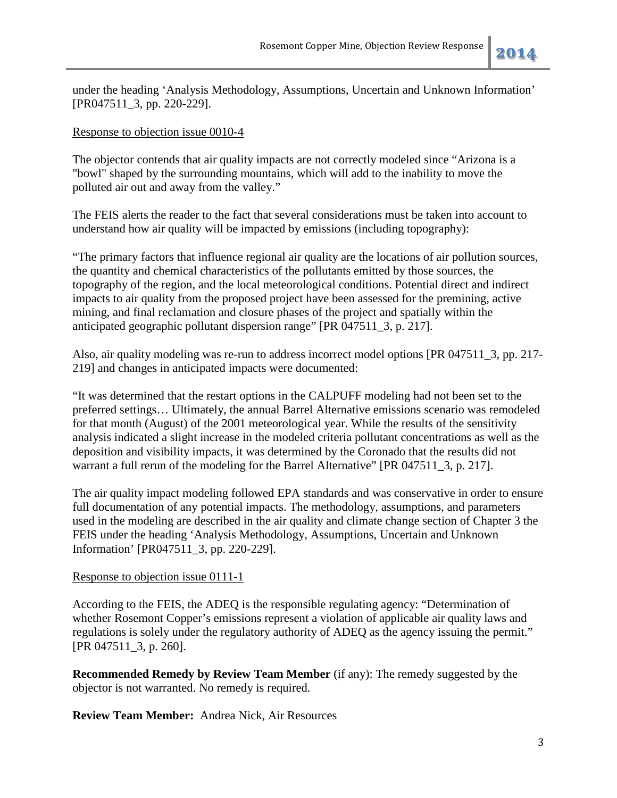under the heading 'Analysis Methodology, Assumptions, Uncertain and Unknown Information' [PR047511\_3, pp. 220-229].

## Response to objection issue 0010-4

The objector contends that air quality impacts are not correctly modeled since "Arizona is a "bowl" shaped by the surrounding mountains, which will add to the inability to move the polluted air out and away from the valley."

The FEIS alerts the reader to the fact that several considerations must be taken into account to understand how air quality will be impacted by emissions (including topography):

"The primary factors that influence regional air quality are the locations of air pollution sources, the quantity and chemical characteristics of the pollutants emitted by those sources, the topography of the region, and the local meteorological conditions. Potential direct and indirect impacts to air quality from the proposed project have been assessed for the premining, active mining, and final reclamation and closure phases of the project and spatially within the anticipated geographic pollutant dispersion range" [PR 047511\_3, p. 217].

Also, air quality modeling was re-run to address incorrect model options [PR 047511\_3, pp. 217- 219] and changes in anticipated impacts were documented:

"It was determined that the restart options in the CALPUFF modeling had not been set to the preferred settings… Ultimately, the annual Barrel Alternative emissions scenario was remodeled for that month (August) of the 2001 meteorological year. While the results of the sensitivity analysis indicated a slight increase in the modeled criteria pollutant concentrations as well as the deposition and visibility impacts, it was determined by the Coronado that the results did not warrant a full rerun of the modeling for the Barrel Alternative" [PR 047511\_3, p. 217].

The air quality impact modeling followed EPA standards and was conservative in order to ensure full documentation of any potential impacts. The methodology, assumptions, and parameters used in the modeling are described in the air quality and climate change section of Chapter 3 the FEIS under the heading 'Analysis Methodology, Assumptions, Uncertain and Unknown Information' [PR047511\_3, pp. 220-229].

## Response to objection issue 0111-1

According to the FEIS, the ADEQ is the responsible regulating agency: "Determination of whether Rosemont Copper's emissions represent a violation of applicable air quality laws and regulations is solely under the regulatory authority of ADEQ as the agency issuing the permit." [PR 047511\_3, p. 260].

**Recommended Remedy by Review Team Member** (if any): The remedy suggested by the objector is not warranted. No remedy is required.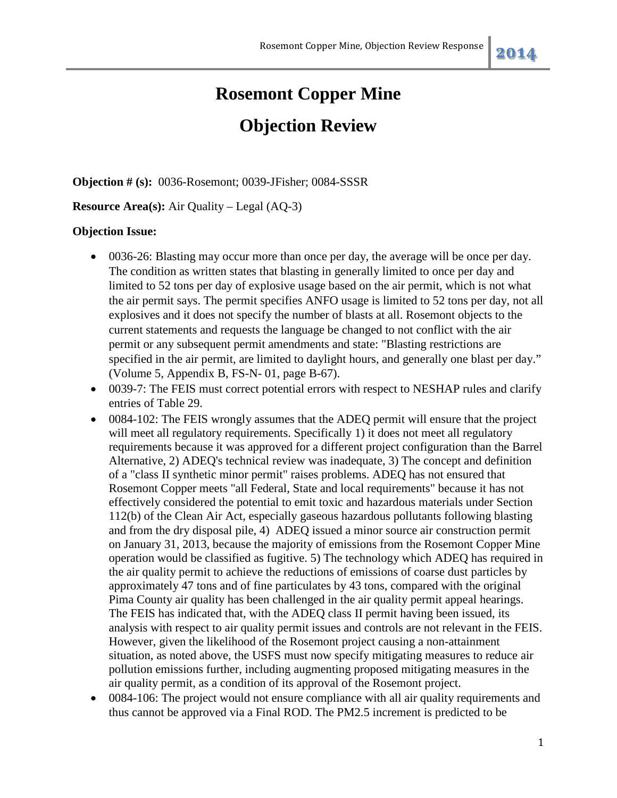## **Objection Review**

**Objection # (s):** 0036-Rosemont; 0039-JFisher; 0084-SSSR

### **Resource Area(s):** Air Quality – Legal (AQ-3)

### **Objection Issue:**

- 0036-26: Blasting may occur more than once per day, the average will be once per day. The condition as written states that blasting in generally limited to once per day and limited to 52 tons per day of explosive usage based on the air permit, which is not what the air permit says. The permit specifies ANFO usage is limited to 52 tons per day, not all explosives and it does not specify the number of blasts at all. Rosemont objects to the current statements and requests the language be changed to not conflict with the air permit or any subsequent permit amendments and state: "Blasting restrictions are specified in the air permit, are limited to daylight hours, and generally one blast per day." (Volume 5, Appendix B, FS-N- 01, page B-67).
- 0039-7: The FEIS must correct potential errors with respect to NESHAP rules and clarify entries of Table 29.
- 0084-102: The FEIS wrongly assumes that the ADEQ permit will ensure that the project will meet all regulatory requirements. Specifically 1) it does not meet all regulatory requirements because it was approved for a different project configuration than the Barrel Alternative, 2) ADEQ's technical review was inadequate, 3) The concept and definition of a "class II synthetic minor permit" raises problems. ADEQ has not ensured that Rosemont Copper meets "all Federal, State and local requirements" because it has not effectively considered the potential to emit toxic and hazardous materials under Section 112(b) of the Clean Air Act, especially gaseous hazardous pollutants following blasting and from the dry disposal pile, 4) ADEQ issued a minor source air construction permit on January 31, 2013, because the majority of emissions from the Rosemont Copper Mine operation would be classified as fugitive. 5) The technology which ADEQ has required in the air quality permit to achieve the reductions of emissions of coarse dust particles by approximately 47 tons and of fine particulates by 43 tons, compared with the original Pima County air quality has been challenged in the air quality permit appeal hearings. The FEIS has indicated that, with the ADEQ class II permit having been issued, its analysis with respect to air quality permit issues and controls are not relevant in the FEIS. However, given the likelihood of the Rosemont project causing a non-attainment situation, as noted above, the USFS must now specify mitigating measures to reduce air pollution emissions further, including augmenting proposed mitigating measures in the air quality permit, as a condition of its approval of the Rosemont project.
- 0084-106: The project would not ensure compliance with all air quality requirements and thus cannot be approved via a Final ROD. The PM2.5 increment is predicted to be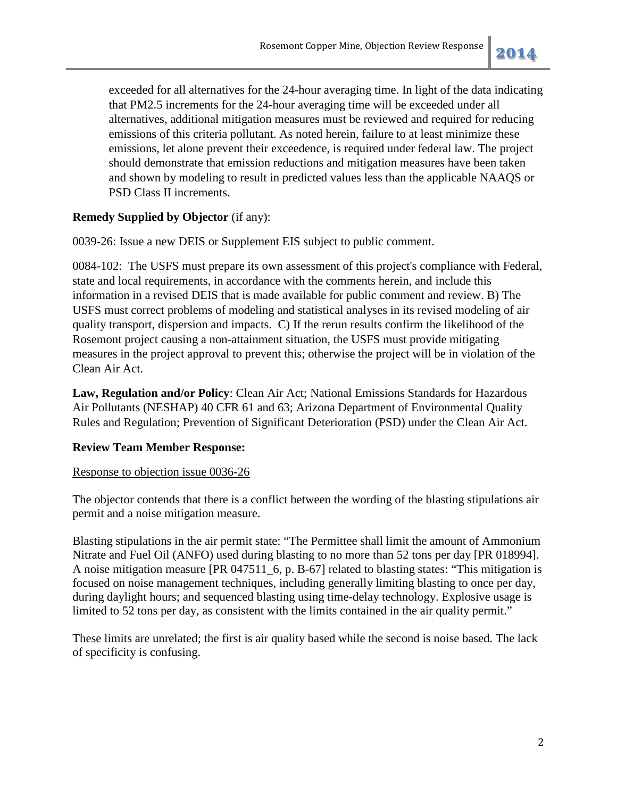exceeded for all alternatives for the 24-hour averaging time. In light of the data indicating that PM2.5 increments for the 24-hour averaging time will be exceeded under all alternatives, additional mitigation measures must be reviewed and required for reducing emissions of this criteria pollutant. As noted herein, failure to at least minimize these emissions, let alone prevent their exceedence, is required under federal law. The project should demonstrate that emission reductions and mitigation measures have been taken and shown by modeling to result in predicted values less than the applicable NAAQS or PSD Class II increments.

## **Remedy Supplied by Objector** (if any):

0039-26: Issue a new DEIS or Supplement EIS subject to public comment.

0084-102: The USFS must prepare its own assessment of this project's compliance with Federal, state and local requirements, in accordance with the comments herein, and include this information in a revised DEIS that is made available for public comment and review. B) The USFS must correct problems of modeling and statistical analyses in its revised modeling of air quality transport, dispersion and impacts. C) If the rerun results confirm the likelihood of the Rosemont project causing a non-attainment situation, the USFS must provide mitigating measures in the project approval to prevent this; otherwise the project will be in violation of the Clean Air Act.

**Law, Regulation and/or Policy**: Clean Air Act; National Emissions Standards for Hazardous Air Pollutants (NESHAP) 40 CFR 61 and 63; Arizona Department of Environmental Quality Rules and Regulation; Prevention of Significant Deterioration (PSD) under the Clean Air Act.

## **Review Team Member Response:**

## Response to objection issue 0036-26

The objector contends that there is a conflict between the wording of the blasting stipulations air permit and a noise mitigation measure.

Blasting stipulations in the air permit state: "The Permittee shall limit the amount of Ammonium Nitrate and Fuel Oil (ANFO) used during blasting to no more than 52 tons per day [PR 018994]. A noise mitigation measure [PR 047511 6, p. B-67] related to blasting states: "This mitigation is focused on noise management techniques, including generally limiting blasting to once per day, during daylight hours; and sequenced blasting using time-delay technology. Explosive usage is limited to 52 tons per day, as consistent with the limits contained in the air quality permit."

These limits are unrelated; the first is air quality based while the second is noise based. The lack of specificity is confusing.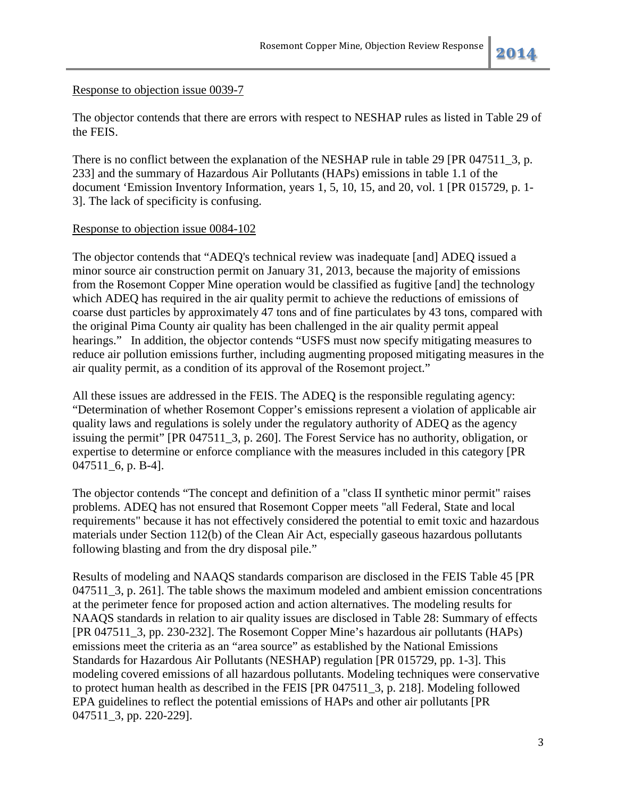## Response to objection issue 0039-7

The objector contends that there are errors with respect to NESHAP rules as listed in Table 29 of the FEIS.

There is no conflict between the explanation of the NESHAP rule in table 29 [PR 047511\_3, p. 233] and the summary of Hazardous Air Pollutants (HAPs) emissions in table 1.1 of the document 'Emission Inventory Information, years 1, 5, 10, 15, and 20, vol. 1 [PR 015729, p. 1- 3]. The lack of specificity is confusing.

## Response to objection issue 0084-102

The objector contends that "ADEQ's technical review was inadequate [and] ADEQ issued a minor source air construction permit on January 31, 2013, because the majority of emissions from the Rosemont Copper Mine operation would be classified as fugitive [and] the technology which ADEQ has required in the air quality permit to achieve the reductions of emissions of coarse dust particles by approximately 47 tons and of fine particulates by 43 tons, compared with the original Pima County air quality has been challenged in the air quality permit appeal hearings." In addition, the objector contends "USFS must now specify mitigating measures to reduce air pollution emissions further, including augmenting proposed mitigating measures in the air quality permit, as a condition of its approval of the Rosemont project."

All these issues are addressed in the FEIS. The ADEQ is the responsible regulating agency: "Determination of whether Rosemont Copper's emissions represent a violation of applicable air quality laws and regulations is solely under the regulatory authority of ADEQ as the agency issuing the permit" [PR 047511\_3, p. 260]. The Forest Service has no authority, obligation, or expertise to determine or enforce compliance with the measures included in this category [PR 047511\_6, p. B-4].

The objector contends "The concept and definition of a "class II synthetic minor permit" raises problems. ADEQ has not ensured that Rosemont Copper meets "all Federal, State and local requirements" because it has not effectively considered the potential to emit toxic and hazardous materials under Section 112(b) of the Clean Air Act, especially gaseous hazardous pollutants following blasting and from the dry disposal pile."

Results of modeling and NAAQS standards comparison are disclosed in the FEIS Table 45 [PR 047511\_3, p. 261]. The table shows the maximum modeled and ambient emission concentrations at the perimeter fence for proposed action and action alternatives. The modeling results for NAAQS standards in relation to air quality issues are disclosed in Table 28: Summary of effects [PR 047511\_3, pp. 230-232]. The Rosemont Copper Mine's hazardous air pollutants (HAPs) emissions meet the criteria as an "area source" as established by the National Emissions Standards for Hazardous Air Pollutants (NESHAP) regulation [PR 015729, pp. 1-3]. This modeling covered emissions of all hazardous pollutants. Modeling techniques were conservative to protect human health as described in the FEIS [PR 047511\_3, p. 218]. Modeling followed EPA guidelines to reflect the potential emissions of HAPs and other air pollutants [PR 047511 3, pp. 220-229].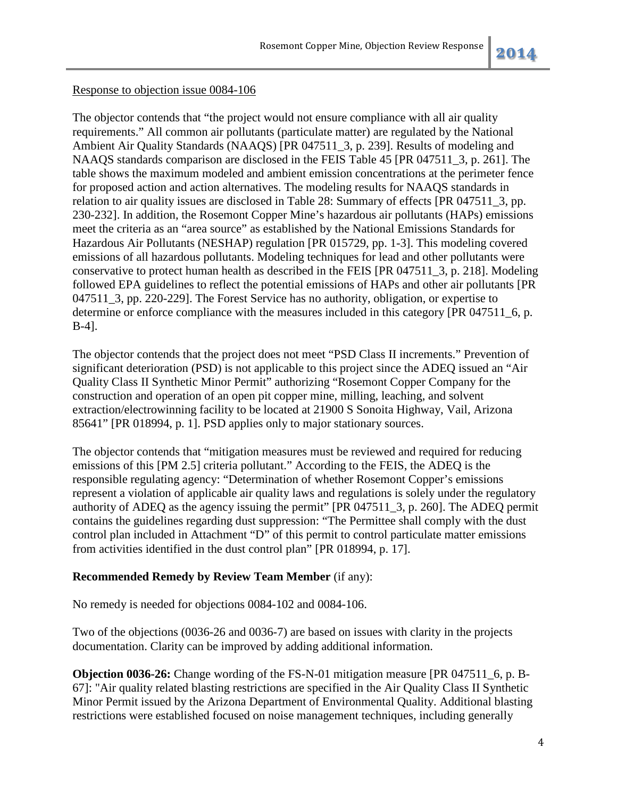## Response to objection issue 0084-106

The objector contends that "the project would not ensure compliance with all air quality requirements." All common air pollutants (particulate matter) are regulated by the National Ambient Air Quality Standards (NAAQS) [PR 047511\_3, p. 239]. Results of modeling and NAAQS standards comparison are disclosed in the FEIS Table 45 [PR 047511\_3, p. 261]. The table shows the maximum modeled and ambient emission concentrations at the perimeter fence for proposed action and action alternatives. The modeling results for NAAQS standards in relation to air quality issues are disclosed in Table 28: Summary of effects [PR 047511\_3, pp. 230-232]. In addition, the Rosemont Copper Mine's hazardous air pollutants (HAPs) emissions meet the criteria as an "area source" as established by the National Emissions Standards for Hazardous Air Pollutants (NESHAP) regulation [PR 015729, pp. 1-3]. This modeling covered emissions of all hazardous pollutants. Modeling techniques for lead and other pollutants were conservative to protect human health as described in the FEIS [PR 047511\_3, p. 218]. Modeling followed EPA guidelines to reflect the potential emissions of HAPs and other air pollutants [PR 047511\_3, pp. 220-229]. The Forest Service has no authority, obligation, or expertise to determine or enforce compliance with the measures included in this category [PR 047511\_6, p. B-4].

The objector contends that the project does not meet "PSD Class II increments." Prevention of significant deterioration (PSD) is not applicable to this project since the ADEQ issued an "Air Quality Class II Synthetic Minor Permit" authorizing "Rosemont Copper Company for the construction and operation of an open pit copper mine, milling, leaching, and solvent extraction/electrowinning facility to be located at 21900 S Sonoita Highway, Vail, Arizona 85641" [PR 018994, p. 1]. PSD applies only to major stationary sources.

The objector contends that "mitigation measures must be reviewed and required for reducing emissions of this [PM 2.5] criteria pollutant." According to the FEIS, the ADEQ is the responsible regulating agency: "Determination of whether Rosemont Copper's emissions represent a violation of applicable air quality laws and regulations is solely under the regulatory authority of ADEQ as the agency issuing the permit" [PR 047511\_3, p. 260]. The ADEQ permit contains the guidelines regarding dust suppression: "The Permittee shall comply with the dust control plan included in Attachment "D" of this permit to control particulate matter emissions from activities identified in the dust control plan" [PR 018994, p. 17].

## **Recommended Remedy by Review Team Member** (if any):

No remedy is needed for objections 0084-102 and 0084-106.

Two of the objections (0036-26 and 0036-7) are based on issues with clarity in the projects documentation. Clarity can be improved by adding additional information.

**Objection 0036-26:** Change wording of the FS-N-01 mitigation measure [PR 047511\_6, p. B-67]: "Air quality related blasting restrictions are specified in the Air Quality Class II Synthetic Minor Permit issued by the Arizona Department of Environmental Quality. Additional blasting restrictions were established focused on noise management techniques, including generally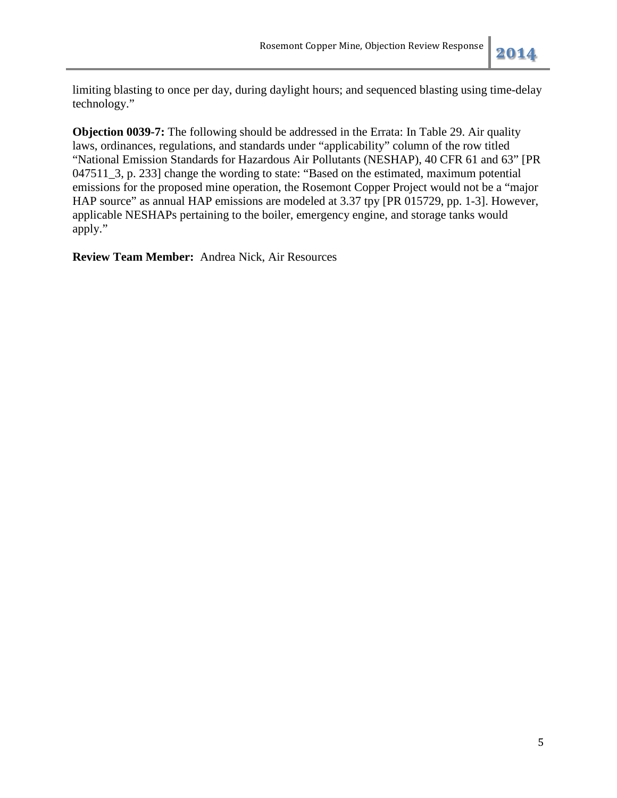limiting blasting to once per day, during daylight hours; and sequenced blasting using time-delay technology."

**Objection 0039-7:** The following should be addressed in the Errata: In Table 29. Air quality laws, ordinances, regulations, and standards under "applicability" column of the row titled "National Emission Standards for Hazardous Air Pollutants (NESHAP), 40 CFR 61 and 63" [PR 047511\_3, p. 233] change the wording to state: "Based on the estimated, maximum potential emissions for the proposed mine operation, the Rosemont Copper Project would not be a "major HAP source" as annual HAP emissions are modeled at 3.37 tpy [PR 015729, pp. 1-3]. However, applicable NESHAPs pertaining to the boiler, emergency engine, and storage tanks would apply."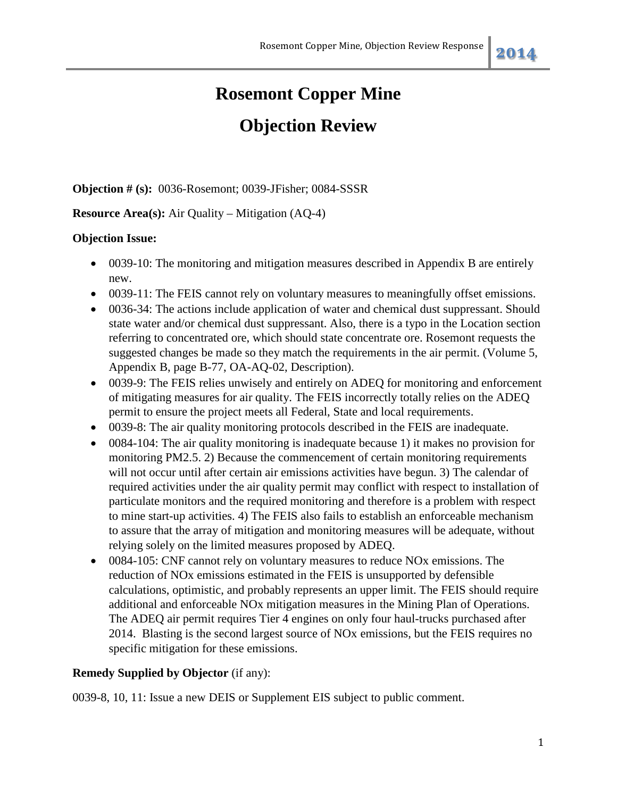## **Objection Review**

**Objection # (s):** 0036-Rosemont; 0039-JFisher; 0084-SSSR

## **Resource Area(s):** Air Quality – Mitigation (AQ-4)

## **Objection Issue:**

- 0039-10: The monitoring and mitigation measures described in Appendix B are entirely new.
- 0039-11: The FEIS cannot rely on voluntary measures to meaningfully offset emissions.
- 0036-34: The actions include application of water and chemical dust suppressant. Should state water and/or chemical dust suppressant. Also, there is a typo in the Location section referring to concentrated ore, which should state concentrate ore. Rosemont requests the suggested changes be made so they match the requirements in the air permit. (Volume 5, Appendix B, page B-77, OA-AQ-02, Description).
- 0039-9: The FEIS relies unwisely and entirely on ADEQ for monitoring and enforcement of mitigating measures for air quality. The FEIS incorrectly totally relies on the ADEQ permit to ensure the project meets all Federal, State and local requirements.
- 0039-8: The air quality monitoring protocols described in the FEIS are inadequate.
- 0084-104: The air quality monitoring is inadequate because 1) it makes no provision for monitoring PM2.5. 2) Because the commencement of certain monitoring requirements will not occur until after certain air emissions activities have begun. 3) The calendar of required activities under the air quality permit may conflict with respect to installation of particulate monitors and the required monitoring and therefore is a problem with respect to mine start-up activities. 4) The FEIS also fails to establish an enforceable mechanism to assure that the array of mitigation and monitoring measures will be adequate, without relying solely on the limited measures proposed by ADEQ.
- 0084-105: CNF cannot rely on voluntary measures to reduce NO<sub>x</sub> emissions. The reduction of NOx emissions estimated in the FEIS is unsupported by defensible calculations, optimistic, and probably represents an upper limit. The FEIS should require additional and enforceable NOx mitigation measures in the Mining Plan of Operations. The ADEQ air permit requires Tier 4 engines on only four haul-trucks purchased after 2014. Blasting is the second largest source of NOx emissions, but the FEIS requires no specific mitigation for these emissions.

## **Remedy Supplied by Objector** (if any):

0039-8, 10, 11: Issue a new DEIS or Supplement EIS subject to public comment.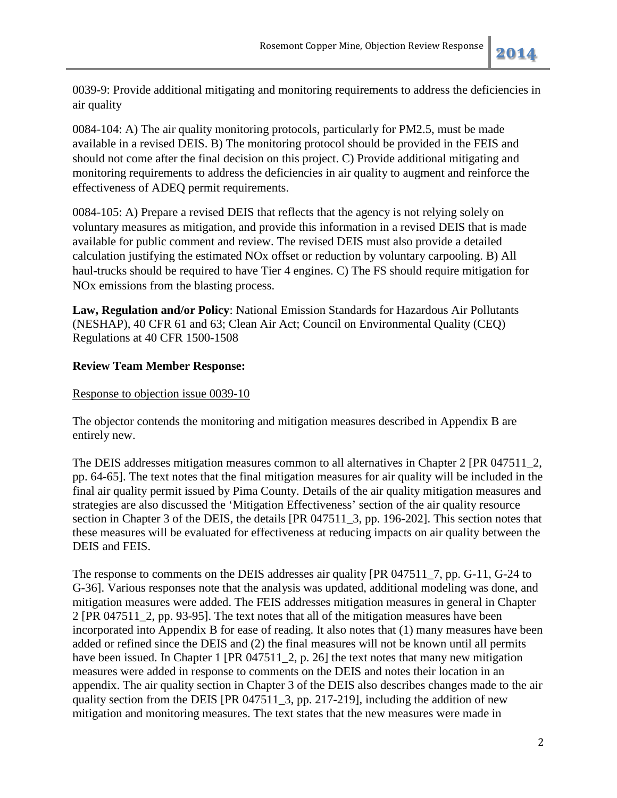0039-9: Provide additional mitigating and monitoring requirements to address the deficiencies in air quality

0084-104: A) The air quality monitoring protocols, particularly for PM2.5, must be made available in a revised DEIS. B) The monitoring protocol should be provided in the FEIS and should not come after the final decision on this project. C) Provide additional mitigating and monitoring requirements to address the deficiencies in air quality to augment and reinforce the effectiveness of ADEQ permit requirements.

0084-105: A) Prepare a revised DEIS that reflects that the agency is not relying solely on voluntary measures as mitigation, and provide this information in a revised DEIS that is made available for public comment and review. The revised DEIS must also provide a detailed calculation justifying the estimated NOx offset or reduction by voluntary carpooling. B) All haul-trucks should be required to have Tier 4 engines. C) The FS should require mitigation for NOx emissions from the blasting process.

**Law, Regulation and/or Policy**: National Emission Standards for Hazardous Air Pollutants (NESHAP), 40 CFR 61 and 63; Clean Air Act; Council on Environmental Quality (CEQ) Regulations at 40 CFR 1500-1508

## **Review Team Member Response:**

## Response to objection issue 0039-10

The objector contends the monitoring and mitigation measures described in Appendix B are entirely new.

The DEIS addresses mitigation measures common to all alternatives in Chapter 2 [PR 047511\_2, pp. 64-65]. The text notes that the final mitigation measures for air quality will be included in the final air quality permit issued by Pima County. Details of the air quality mitigation measures and strategies are also discussed the 'Mitigation Effectiveness' section of the air quality resource section in Chapter 3 of the DEIS, the details [PR 047511\_3, pp. 196-202]. This section notes that these measures will be evaluated for effectiveness at reducing impacts on air quality between the DEIS and FEIS.

The response to comments on the DEIS addresses air quality [PR 047511\_7, pp. G-11, G-24 to G-36]. Various responses note that the analysis was updated, additional modeling was done, and mitigation measures were added. The FEIS addresses mitigation measures in general in Chapter 2 [PR 047511\_2, pp. 93-95]. The text notes that all of the mitigation measures have been incorporated into Appendix B for ease of reading. It also notes that (1) many measures have been added or refined since the DEIS and (2) the final measures will not be known until all permits have been issued. In Chapter 1 [PR 047511\_2, p. 26] the text notes that many new mitigation measures were added in response to comments on the DEIS and notes their location in an appendix. The air quality section in Chapter 3 of the DEIS also describes changes made to the air quality section from the DEIS [PR 047511\_3, pp. 217-219], including the addition of new mitigation and monitoring measures. The text states that the new measures were made in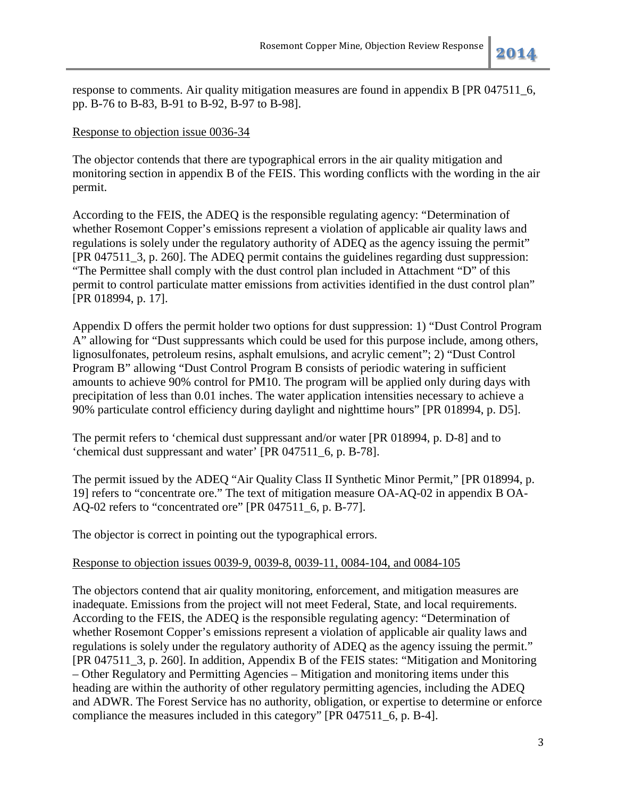response to comments. Air quality mitigation measures are found in appendix B [PR 047511\_6, pp. B-76 to B-83, B-91 to B-92, B-97 to B-98].

## Response to objection issue 0036-34

The objector contends that there are typographical errors in the air quality mitigation and monitoring section in appendix B of the FEIS. This wording conflicts with the wording in the air permit.

According to the FEIS, the ADEQ is the responsible regulating agency: "Determination of whether Rosemont Copper's emissions represent a violation of applicable air quality laws and regulations is solely under the regulatory authority of ADEQ as the agency issuing the permit" [PR 047511\_3, p. 260]. The ADEQ permit contains the guidelines regarding dust suppression: "The Permittee shall comply with the dust control plan included in Attachment "D" of this permit to control particulate matter emissions from activities identified in the dust control plan" [PR 018994, p. 17].

Appendix D offers the permit holder two options for dust suppression: 1) "Dust Control Program A" allowing for "Dust suppressants which could be used for this purpose include, among others, lignosulfonates, petroleum resins, asphalt emulsions, and acrylic cement"; 2) "Dust Control Program B" allowing "Dust Control Program B consists of periodic watering in sufficient amounts to achieve 90% control for PM10. The program will be applied only during days with precipitation of less than 0.01 inches. The water application intensities necessary to achieve a 90% particulate control efficiency during daylight and nighttime hours" [PR 018994, p. D5].

The permit refers to 'chemical dust suppressant and/or water [PR 018994, p. D-8] and to 'chemical dust suppressant and water' [PR 047511\_6, p. B-78].

The permit issued by the ADEQ "Air Quality Class II Synthetic Minor Permit," [PR 018994, p. 19] refers to "concentrate ore." The text of mitigation measure OA-AQ-02 in appendix B OA-AQ-02 refers to "concentrated ore" [PR 047511\_6, p. B-77].

The objector is correct in pointing out the typographical errors.

## Response to objection issues 0039-9, 0039-8, 0039-11, 0084-104, and 0084-105

The objectors contend that air quality monitoring, enforcement, and mitigation measures are inadequate. Emissions from the project will not meet Federal, State, and local requirements. According to the FEIS, the ADEQ is the responsible regulating agency: "Determination of whether Rosemont Copper's emissions represent a violation of applicable air quality laws and regulations is solely under the regulatory authority of ADEQ as the agency issuing the permit." [PR 047511\_3, p. 260]. In addition, Appendix B of the FEIS states: "Mitigation and Monitoring – Other Regulatory and Permitting Agencies – Mitigation and monitoring items under this heading are within the authority of other regulatory permitting agencies, including the ADEQ and ADWR. The Forest Service has no authority, obligation, or expertise to determine or enforce compliance the measures included in this category" [PR 047511\_6, p. B-4].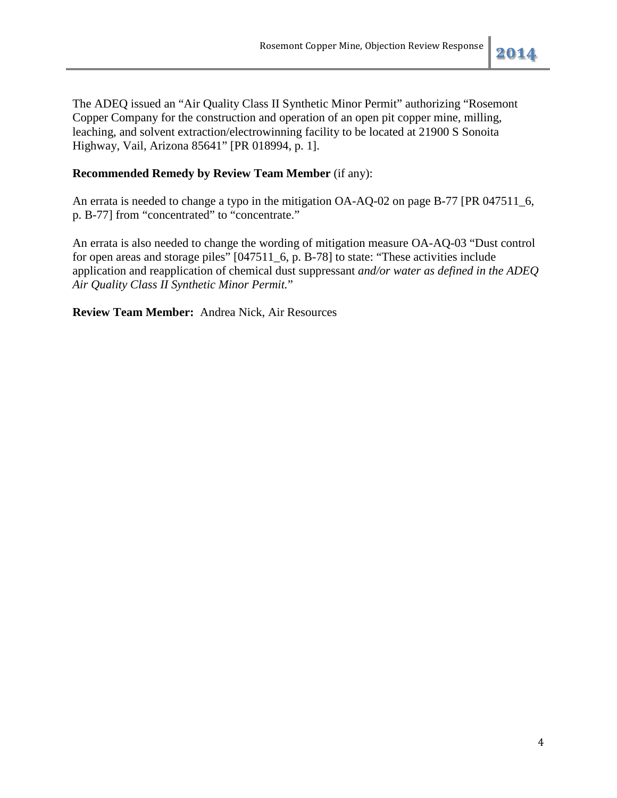The ADEQ issued an "Air Quality Class II Synthetic Minor Permit" authorizing "Rosemont Copper Company for the construction and operation of an open pit copper mine, milling, leaching, and solvent extraction/electrowinning facility to be located at 21900 S Sonoita Highway, Vail, Arizona 85641" [PR 018994, p. 1].

## **Recommended Remedy by Review Team Member** (if any):

An errata is needed to change a typo in the mitigation OA-AQ-02 on page B-77 [PR 047511\_6, p. B-77] from "concentrated" to "concentrate."

An errata is also needed to change the wording of mitigation measure OA-AQ-03 "Dust control for open areas and storage piles" [047511\_6, p. B-78] to state: "These activities include application and reapplication of chemical dust suppressant *and/or water as defined in the ADEQ Air Quality Class II Synthetic Minor Permit.*"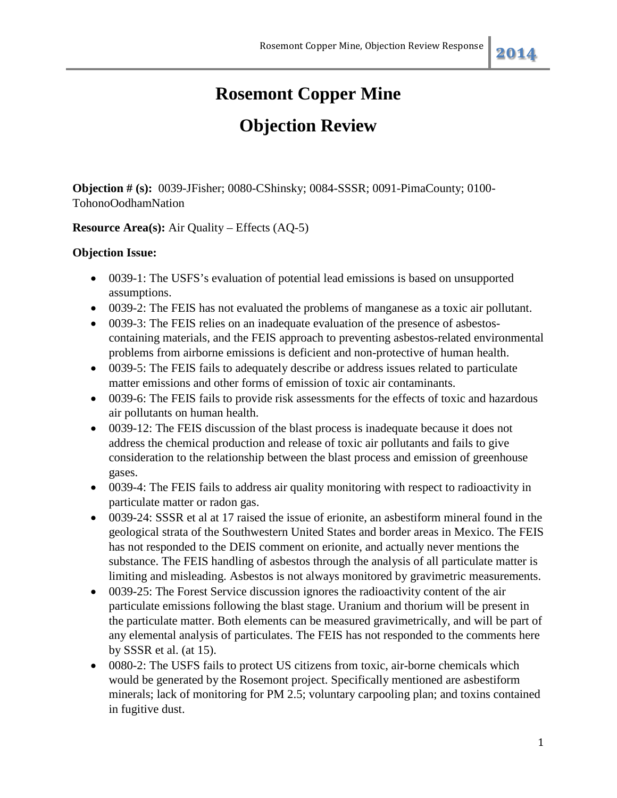## **Objection Review**

**Objection # (s):** 0039-JFisher; 0080-CShinsky; 0084-SSSR; 0091-PimaCounty; 0100- TohonoOodhamNation

## **Resource Area(s):** Air Quality – Effects (AQ-5)

## **Objection Issue:**

- 0039-1: The USFS's evaluation of potential lead emissions is based on unsupported assumptions.
- 0039-2: The FEIS has not evaluated the problems of manganese as a toxic air pollutant.
- 0039-3: The FEIS relies on an inadequate evaluation of the presence of asbestoscontaining materials, and the FEIS approach to preventing asbestos-related environmental problems from airborne emissions is deficient and non-protective of human health.
- 0039-5: The FEIS fails to adequately describe or address issues related to particulate matter emissions and other forms of emission of toxic air contaminants.
- 0039-6: The FEIS fails to provide risk assessments for the effects of toxic and hazardous air pollutants on human health.
- 0039-12: The FEIS discussion of the blast process is inadequate because it does not address the chemical production and release of toxic air pollutants and fails to give consideration to the relationship between the blast process and emission of greenhouse gases.
- 0039-4: The FEIS fails to address air quality monitoring with respect to radioactivity in particulate matter or radon gas.
- 0039-24: SSSR et al at 17 raised the issue of erionite, an asbestiform mineral found in the geological strata of the Southwestern United States and border areas in Mexico. The FEIS has not responded to the DEIS comment on erionite, and actually never mentions the substance. The FEIS handling of asbestos through the analysis of all particulate matter is limiting and misleading. Asbestos is not always monitored by gravimetric measurements.
- 0039-25: The Forest Service discussion ignores the radioactivity content of the air particulate emissions following the blast stage. Uranium and thorium will be present in the particulate matter. Both elements can be measured gravimetrically, and will be part of any elemental analysis of particulates. The FEIS has not responded to the comments here by SSSR et al. (at 15).
- 0080-2: The USFS fails to protect US citizens from toxic, air-borne chemicals which would be generated by the Rosemont project. Specifically mentioned are asbestiform minerals; lack of monitoring for PM 2.5; voluntary carpooling plan; and toxins contained in fugitive dust.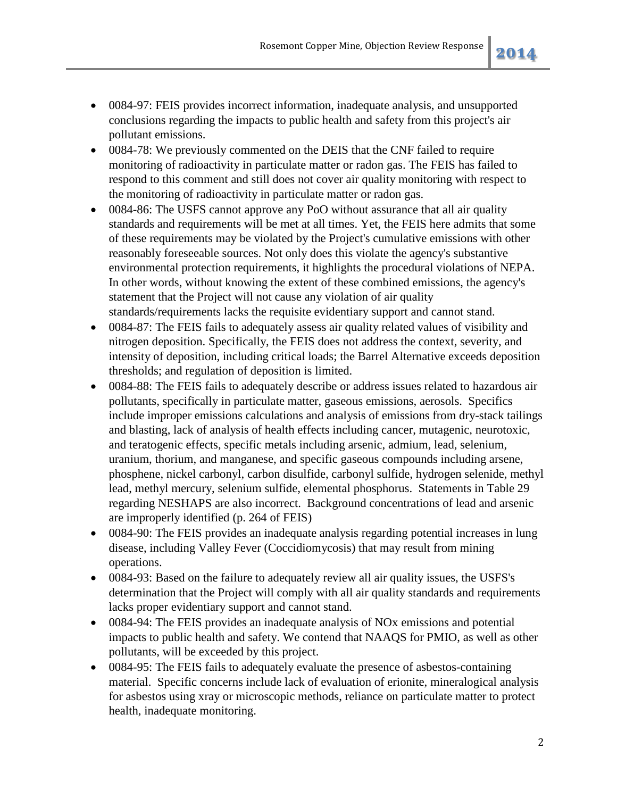- 0084-97: FEIS provides incorrect information, inadequate analysis, and unsupported conclusions regarding the impacts to public health and safety from this project's air pollutant emissions.
- 0084-78: We previously commented on the DEIS that the CNF failed to require monitoring of radioactivity in particulate matter or radon gas. The FEIS has failed to respond to this comment and still does not cover air quality monitoring with respect to the monitoring of radioactivity in particulate matter or radon gas.
- 0084-86: The USFS cannot approve any PoO without assurance that all air quality standards and requirements will be met at all times. Yet, the FEIS here admits that some of these requirements may be violated by the Project's cumulative emissions with other reasonably foreseeable sources. Not only does this violate the agency's substantive environmental protection requirements, it highlights the procedural violations of NEPA. In other words, without knowing the extent of these combined emissions, the agency's statement that the Project will not cause any violation of air quality standards/requirements lacks the requisite evidentiary support and cannot stand.
- 0084-87: The FEIS fails to adequately assess air quality related values of visibility and nitrogen deposition. Specifically, the FEIS does not address the context, severity, and intensity of deposition, including critical loads; the Barrel Alternative exceeds deposition thresholds; and regulation of deposition is limited.
- 0084-88: The FEIS fails to adequately describe or address issues related to hazardous air pollutants, specifically in particulate matter, gaseous emissions, aerosols. Specifics include improper emissions calculations and analysis of emissions from dry-stack tailings and blasting, lack of analysis of health effects including cancer, mutagenic, neurotoxic, and teratogenic effects, specific metals including arsenic, admium, lead, selenium, uranium, thorium, and manganese, and specific gaseous compounds including arsene, phosphene, nickel carbonyl, carbon disulfide, carbonyl sulfide, hydrogen selenide, methyl lead, methyl mercury, selenium sulfide, elemental phosphorus. Statements in Table 29 regarding NESHAPS are also incorrect. Background concentrations of lead and arsenic are improperly identified (p. 264 of FEIS)
- 0084-90: The FEIS provides an inadequate analysis regarding potential increases in lung disease, including Valley Fever (Coccidiomycosis) that may result from mining operations.
- 0084-93: Based on the failure to adequately review all air quality issues, the USFS's determination that the Project will comply with all air quality standards and requirements lacks proper evidentiary support and cannot stand.
- 0084-94: The FEIS provides an inadequate analysis of NOx emissions and potential impacts to public health and safety. We contend that NAAQS for PMIO, as well as other pollutants, will be exceeded by this project.
- 0084-95: The FEIS fails to adequately evaluate the presence of asbestos-containing material. Specific concerns include lack of evaluation of erionite, mineralogical analysis for asbestos using xray or microscopic methods, reliance on particulate matter to protect health, inadequate monitoring.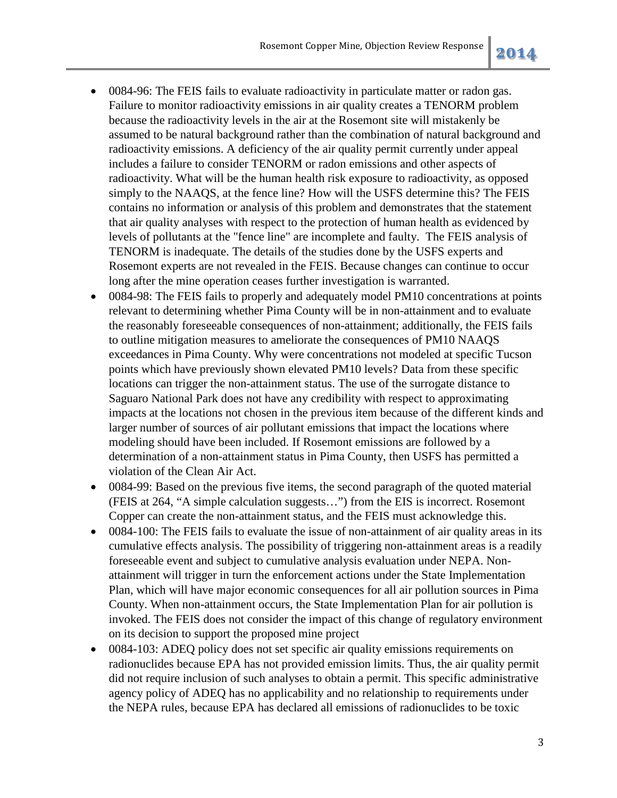- 0084-96: The FEIS fails to evaluate radioactivity in particulate matter or radon gas. Failure to monitor radioactivity emissions in air quality creates a TENORM problem because the radioactivity levels in the air at the Rosemont site will mistakenly be assumed to be natural background rather than the combination of natural background and radioactivity emissions. A deficiency of the air quality permit currently under appeal includes a failure to consider TENORM or radon emissions and other aspects of radioactivity. What will be the human health risk exposure to radioactivity, as opposed simply to the NAAQS, at the fence line? How will the USFS determine this? The FEIS contains no information or analysis of this problem and demonstrates that the statement that air quality analyses with respect to the protection of human health as evidenced by levels of pollutants at the "fence line" are incomplete and faulty. The FEIS analysis of TENORM is inadequate. The details of the studies done by the USFS experts and Rosemont experts are not revealed in the FEIS. Because changes can continue to occur long after the mine operation ceases further investigation is warranted.
- 0084-98: The FEIS fails to properly and adequately model PM10 concentrations at points relevant to determining whether Pima County will be in non-attainment and to evaluate the reasonably foreseeable consequences of non-attainment; additionally, the FEIS fails to outline mitigation measures to ameliorate the consequences of PM10 NAAQS exceedances in Pima County. Why were concentrations not modeled at specific Tucson points which have previously shown elevated PM10 levels? Data from these specific locations can trigger the non-attainment status. The use of the surrogate distance to Saguaro National Park does not have any credibility with respect to approximating impacts at the locations not chosen in the previous item because of the different kinds and larger number of sources of air pollutant emissions that impact the locations where modeling should have been included. If Rosemont emissions are followed by a determination of a non-attainment status in Pima County, then USFS has permitted a violation of the Clean Air Act.
- 0084-99: Based on the previous five items, the second paragraph of the quoted material (FEIS at 264, "A simple calculation suggests…") from the EIS is incorrect. Rosemont Copper can create the non-attainment status, and the FEIS must acknowledge this.
- 0084-100: The FEIS fails to evaluate the issue of non-attainment of air quality areas in its cumulative effects analysis. The possibility of triggering non-attainment areas is a readily foreseeable event and subject to cumulative analysis evaluation under NEPA. Nonattainment will trigger in turn the enforcement actions under the State Implementation Plan, which will have major economic consequences for all air pollution sources in Pima County. When non-attainment occurs, the State Implementation Plan for air pollution is invoked. The FEIS does not consider the impact of this change of regulatory environment on its decision to support the proposed mine project
- 0084-103: ADEQ policy does not set specific air quality emissions requirements on radionuclides because EPA has not provided emission limits. Thus, the air quality permit did not require inclusion of such analyses to obtain a permit. This specific administrative agency policy of ADEQ has no applicability and no relationship to requirements under the NEPA rules, because EPA has declared all emissions of radionuclides to be toxic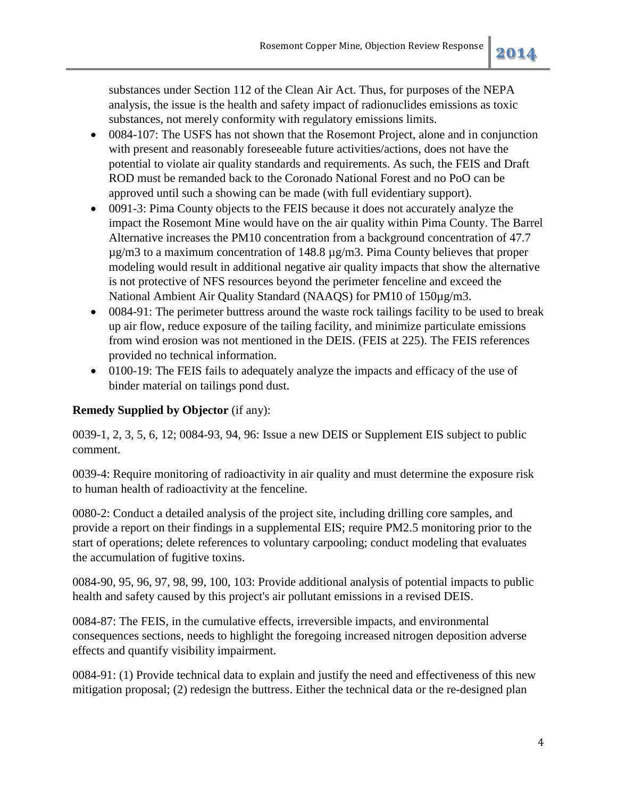substances under Section 112 of the Clean Air Act. Thus, for purposes of the NEPA analysis, the issue is the health and safety impact of radionuclides emissions as toxic substances, not merely conformity with regulatory emissions limits.

- 0084-107: The USFS has not shown that the Rosemont Project, alone and in conjunction with present and reasonably foreseeable future activities/actions, does not have the potential to violate air quality standards and requirements. As such, the FEIS and Draft ROD must be remanded back to the Coronado National Forest and no PoO can be approved until such a showing can be made (with full evidentiary support).
- 0091-3: Pima County objects to the FEIS because it does not accurately analyze the impact the Rosemont Mine would have on the air quality within Pima County. The Barrel Alternative increases the PM10 concentration from a background concentration of 47.7  $\mu$ g/m3 to a maximum concentration of 148.8  $\mu$ g/m3. Pima County believes that proper modeling would result in additional negative air quality impacts that show the alternative is not protective of NFS resources beyond the perimeter fenceline and exceed the National Ambient Air Quality Standard (NAAQS) for PM10 of 150µg/m3.
- 0084-91: The perimeter buttress around the waste rock tailings facility to be used to break up air flow, reduce exposure of the tailing facility, and minimize particulate emissions from wind erosion was not mentioned in the DEIS. (FEIS at 225). The FEIS references provided no technical information.
- 0100-19: The FEIS fails to adequately analyze the impacts and efficacy of the use of binder material on tailings pond dust.

## **Remedy Supplied by Objector** (if any):

0039-1, 2, 3, 5, 6, 12; 0084-93, 94, 96: Issue a new DEIS or Supplement EIS subject to public comment.

0039-4: Require monitoring of radioactivity in air quality and must determine the exposure risk to human health of radioactivity at the fenceline.

0080-2: Conduct a detailed analysis of the project site, including drilling core samples, and provide a report on their findings in a supplemental EIS; require PM2.5 monitoring prior to the start of operations; delete references to voluntary carpooling; conduct modeling that evaluates the accumulation of fugitive toxins.

0084-90, 95, 96, 97, 98, 99, 100, 103: Provide additional analysis of potential impacts to public health and safety caused by this project's air pollutant emissions in a revised DEIS.

0084-87: The FEIS, in the cumulative effects, irreversible impacts, and environmental consequences sections, needs to highlight the foregoing increased nitrogen deposition adverse effects and quantify visibility impairment.

0084-91: (1) Provide technical data to explain and justify the need and effectiveness of this new mitigation proposal; (2) redesign the buttress. Either the technical data or the re-designed plan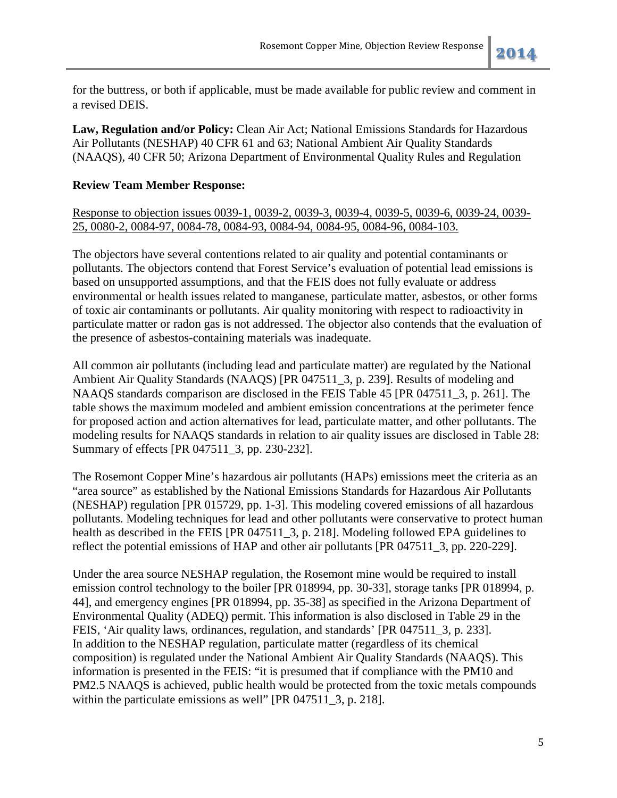for the buttress, or both if applicable, must be made available for public review and comment in a revised DEIS.

**Law, Regulation and/or Policy:** Clean Air Act; National Emissions Standards for Hazardous Air Pollutants (NESHAP) 40 CFR 61 and 63; National Ambient Air Quality Standards (NAAQS), 40 CFR 50; Arizona Department of Environmental Quality Rules and Regulation

## **Review Team Member Response:**

Response to objection issues 0039-1, 0039-2, 0039-3, 0039-4, 0039-5, 0039-6, 0039-24, 0039- 25, 0080-2, 0084-97, 0084-78, 0084-93, 0084-94, 0084-95, 0084-96, 0084-103.

The objectors have several contentions related to air quality and potential contaminants or pollutants. The objectors contend that Forest Service's evaluation of potential lead emissions is based on unsupported assumptions, and that the FEIS does not fully evaluate or address environmental or health issues related to manganese, particulate matter, asbestos, or other forms of toxic air contaminants or pollutants. Air quality monitoring with respect to radioactivity in particulate matter or radon gas is not addressed. The objector also contends that the evaluation of the presence of asbestos-containing materials was inadequate.

All common air pollutants (including lead and particulate matter) are regulated by the National Ambient Air Quality Standards (NAAQS) [PR 047511\_3, p. 239]. Results of modeling and NAAQS standards comparison are disclosed in the FEIS Table 45 [PR 047511\_3, p. 261]. The table shows the maximum modeled and ambient emission concentrations at the perimeter fence for proposed action and action alternatives for lead, particulate matter, and other pollutants. The modeling results for NAAQS standards in relation to air quality issues are disclosed in Table 28: Summary of effects [PR 047511\_3, pp. 230-232].

The Rosemont Copper Mine's hazardous air pollutants (HAPs) emissions meet the criteria as an "area source" as established by the National Emissions Standards for Hazardous Air Pollutants (NESHAP) regulation [PR 015729, pp. 1-3]. This modeling covered emissions of all hazardous pollutants. Modeling techniques for lead and other pollutants were conservative to protect human health as described in the FEIS [PR 047511\_3, p. 218]. Modeling followed EPA guidelines to reflect the potential emissions of HAP and other air pollutants [PR 047511\_3, pp. 220-229].

Under the area source NESHAP regulation, the Rosemont mine would be required to install emission control technology to the boiler [PR 018994, pp. 30-33], storage tanks [PR 018994, p. 44], and emergency engines [PR 018994, pp. 35-38] as specified in the Arizona Department of Environmental Quality (ADEQ) permit. This information is also disclosed in Table 29 in the FEIS, 'Air quality laws, ordinances, regulation, and standards' [PR 047511\_3, p. 233]. In addition to the NESHAP regulation, particulate matter (regardless of its chemical composition) is regulated under the National Ambient Air Quality Standards (NAAQS). This information is presented in the FEIS: "it is presumed that if compliance with the PM10 and PM2.5 NAAQS is achieved, public health would be protected from the toxic metals compounds within the particulate emissions as well" [PR 047511\_3, p. 218].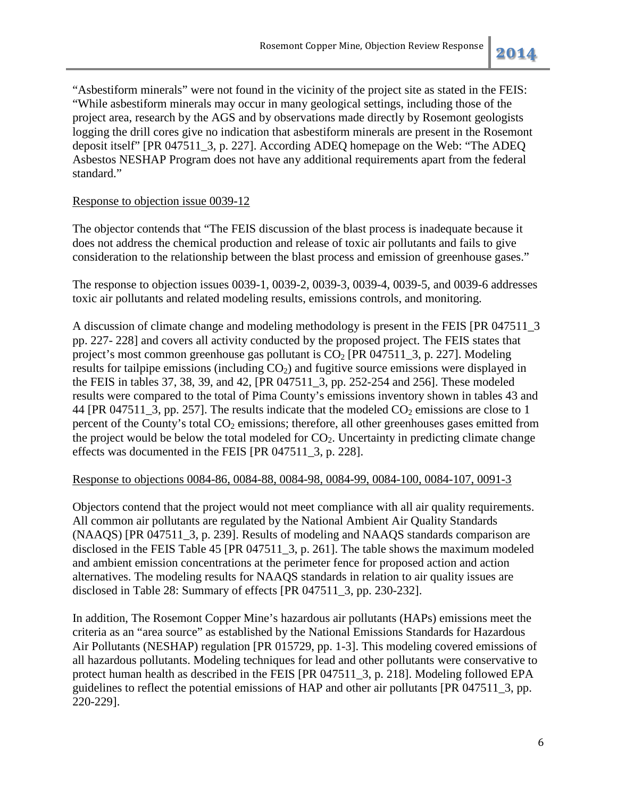"Asbestiform minerals" were not found in the vicinity of the project site as stated in the FEIS: "While asbestiform minerals may occur in many geological settings, including those of the project area, research by the AGS and by observations made directly by Rosemont geologists logging the drill cores give no indication that asbestiform minerals are present in the Rosemont deposit itself" [PR 047511\_3, p. 227]. According ADEQ homepage on the Web: "The ADEQ Asbestos NESHAP Program does not have any additional requirements apart from the federal standard."

## Response to objection issue 0039-12

The objector contends that "The FEIS discussion of the blast process is inadequate because it does not address the chemical production and release of toxic air pollutants and fails to give consideration to the relationship between the blast process and emission of greenhouse gases."

The response to objection issues 0039-1, 0039-2, 0039-3, 0039-4, 0039-5, and 0039-6 addresses toxic air pollutants and related modeling results, emissions controls, and monitoring.

A discussion of climate change and modeling methodology is present in the FEIS [PR 047511\_3 pp. 227- 228] and covers all activity conducted by the proposed project. The FEIS states that project's most common greenhouse gas pollutant is  $CO<sub>2</sub>$  [PR 047511\_3, p. 227]. Modeling results for tailpipe emissions (including  $CO<sub>2</sub>$ ) and fugitive source emissions were displayed in the FEIS in tables 37, 38, 39, and 42, [PR 047511\_3, pp. 252-254 and 256]. These modeled results were compared to the total of Pima County's emissions inventory shown in tables 43 and 44 [PR 047511\_3, pp. 257]. The results indicate that the modeled  $CO_2$  emissions are close to 1 percent of the County's total  $CO<sub>2</sub>$  emissions; therefore, all other greenhouses gases emitted from the project would be below the total modeled for  $CO<sub>2</sub>$ . Uncertainty in predicting climate change effects was documented in the FEIS [PR 047511\_3, p. 228].

## Response to objections 0084-86, 0084-88, 0084-98, 0084-99, 0084-100, 0084-107, 0091-3

Objectors contend that the project would not meet compliance with all air quality requirements. All common air pollutants are regulated by the National Ambient Air Quality Standards (NAAQS) [PR 047511\_3, p. 239]. Results of modeling and NAAQS standards comparison are disclosed in the FEIS Table 45 [PR 047511\_3, p. 261]. The table shows the maximum modeled and ambient emission concentrations at the perimeter fence for proposed action and action alternatives. The modeling results for NAAQS standards in relation to air quality issues are disclosed in Table 28: Summary of effects [PR 047511\_3, pp. 230-232].

In addition, The Rosemont Copper Mine's hazardous air pollutants (HAPs) emissions meet the criteria as an "area source" as established by the National Emissions Standards for Hazardous Air Pollutants (NESHAP) regulation [PR 015729, pp. 1-3]. This modeling covered emissions of all hazardous pollutants. Modeling techniques for lead and other pollutants were conservative to protect human health as described in the FEIS [PR 047511\_3, p. 218]. Modeling followed EPA guidelines to reflect the potential emissions of HAP and other air pollutants [PR 047511\_3, pp. 220-229].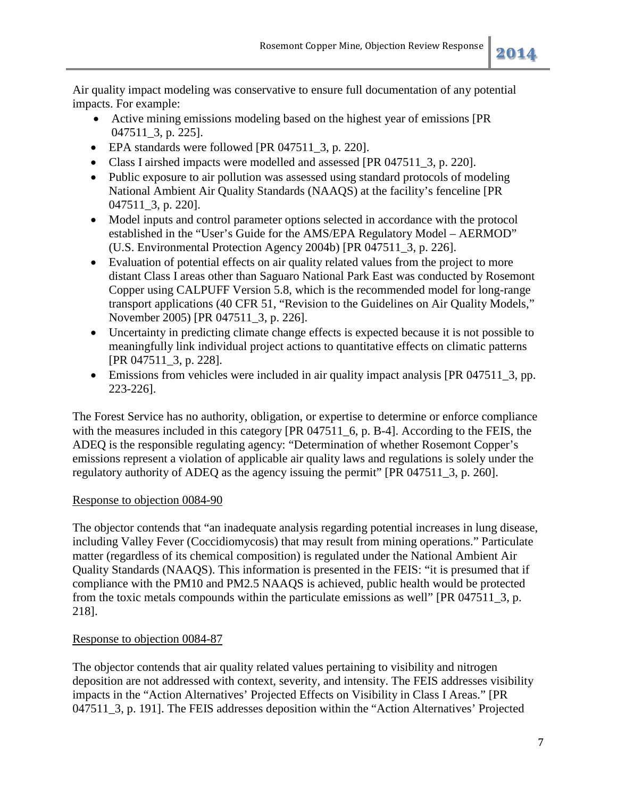Air quality impact modeling was conservative to ensure full documentation of any potential impacts. For example:

- Active mining emissions modeling based on the highest year of emissions [PR 047511\_3, p. 225].
- EPA standards were followed [PR 047511\_3, p. 220].
- Class I airshed impacts were modelled and assessed [PR 047511 3, p. 220].
- Public exposure to air pollution was assessed using standard protocols of modeling National Ambient Air Quality Standards (NAAQS) at the facility's fenceline [PR 047511\_3, p. 220].
- Model inputs and control parameter options selected in accordance with the protocol established in the "User's Guide for the AMS/EPA Regulatory Model – AERMOD" (U.S. Environmental Protection Agency 2004b) [PR 047511\_3, p. 226].
- Evaluation of potential effects on air quality related values from the project to more distant Class I areas other than Saguaro National Park East was conducted by Rosemont Copper using CALPUFF Version 5.8, which is the recommended model for long-range transport applications (40 CFR 51, "Revision to the Guidelines on Air Quality Models," November 2005) [PR 047511\_3, p. 226].
- Uncertainty in predicting climate change effects is expected because it is not possible to meaningfully link individual project actions to quantitative effects on climatic patterns [PR 047511\_3, p. 228].
- Emissions from vehicles were included in air quality impact analysis [PR 047511\_3, pp. 223-226].

The Forest Service has no authority, obligation, or expertise to determine or enforce compliance with the measures included in this category [PR 047511\_6, p. B-4]. According to the FEIS, the ADEQ is the responsible regulating agency: "Determination of whether Rosemont Copper's emissions represent a violation of applicable air quality laws and regulations is solely under the regulatory authority of ADEQ as the agency issuing the permit" [PR 047511\_3, p. 260].

## Response to objection 0084-90

The objector contends that "an inadequate analysis regarding potential increases in lung disease, including Valley Fever (Coccidiomycosis) that may result from mining operations." Particulate matter (regardless of its chemical composition) is regulated under the National Ambient Air Quality Standards (NAAQS). This information is presented in the FEIS: "it is presumed that if compliance with the PM10 and PM2.5 NAAQS is achieved, public health would be protected from the toxic metals compounds within the particulate emissions as well" [PR 047511\_3, p. 218].

## Response to objection 0084-87

The objector contends that air quality related values pertaining to visibility and nitrogen deposition are not addressed with context, severity, and intensity. The FEIS addresses visibility impacts in the "Action Alternatives' Projected Effects on Visibility in Class I Areas." [PR 047511\_3, p. 191]. The FEIS addresses deposition within the "Action Alternatives' Projected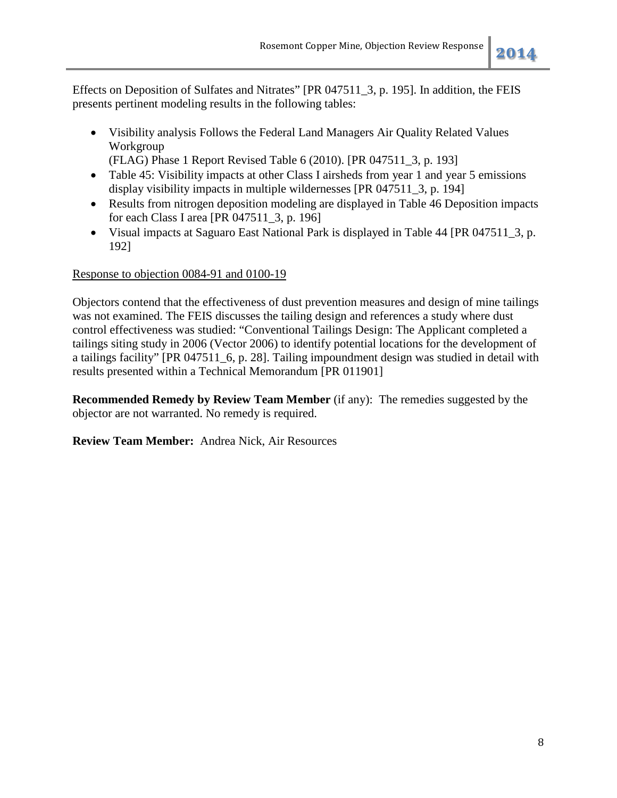Effects on Deposition of Sulfates and Nitrates" [PR 047511\_3, p. 195]. In addition, the FEIS presents pertinent modeling results in the following tables:

• Visibility analysis Follows the Federal Land Managers Air Quality Related Values Workgroup

(FLAG) Phase 1 Report Revised Table 6 (2010). [PR 047511\_3, p. 193]

- Table 45: Visibility impacts at other Class I airsheds from year 1 and year 5 emissions display visibility impacts in multiple wildernesses [PR 047511\_3, p. 194]
- Results from nitrogen deposition modeling are displayed in Table 46 Deposition impacts for each Class I area [PR 047511\_3, p. 196]
- Visual impacts at Saguaro East National Park is displayed in Table 44 [PR 047511\_3, p. 192]

## Response to objection 0084-91 and 0100-19

Objectors contend that the effectiveness of dust prevention measures and design of mine tailings was not examined. The FEIS discusses the tailing design and references a study where dust control effectiveness was studied: "Conventional Tailings Design: The Applicant completed a tailings siting study in 2006 (Vector 2006) to identify potential locations for the development of a tailings facility" [PR 047511\_6, p. 28]. Tailing impoundment design was studied in detail with results presented within a Technical Memorandum [PR 011901]

**Recommended Remedy by Review Team Member** (if any): The remedies suggested by the objector are not warranted. No remedy is required.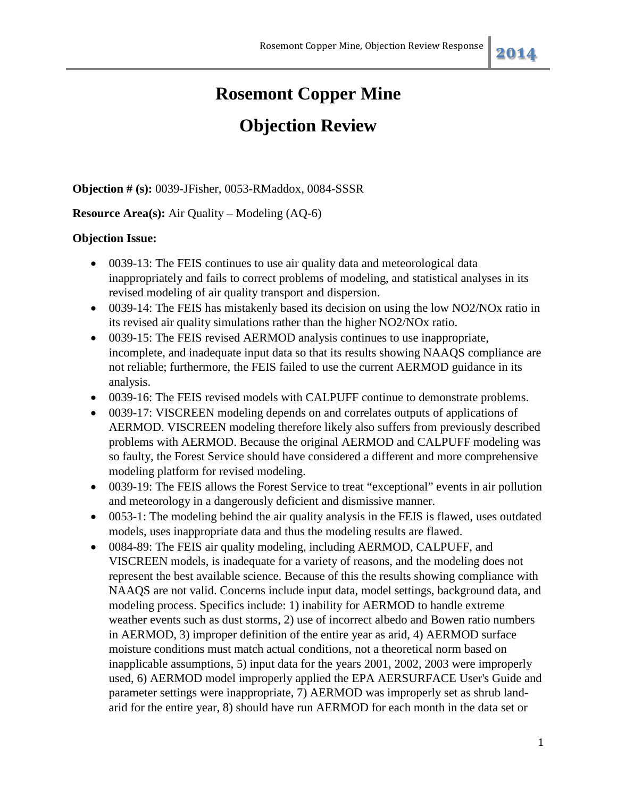## **Objection Review**

**Objection # (s):** 0039-JFisher, 0053-RMaddox, 0084-SSSR

## **Resource Area(s):** Air Quality – Modeling (AQ-6)

## **Objection Issue:**

- 0039-13: The FEIS continues to use air quality data and meteorological data inappropriately and fails to correct problems of modeling, and statistical analyses in its revised modeling of air quality transport and dispersion.
- 0039-14: The FEIS has mistakenly based its decision on using the low NO2/NOx ratio in its revised air quality simulations rather than the higher NO2/NOx ratio.
- 0039-15: The FEIS revised AERMOD analysis continues to use inappropriate, incomplete, and inadequate input data so that its results showing NAAQS compliance are not reliable; furthermore, the FEIS failed to use the current AERMOD guidance in its analysis.
- 0039-16: The FEIS revised models with CALPUFF continue to demonstrate problems.
- 0039-17: VISCREEN modeling depends on and correlates outputs of applications of AERMOD. VISCREEN modeling therefore likely also suffers from previously described problems with AERMOD. Because the original AERMOD and CALPUFF modeling was so faulty, the Forest Service should have considered a different and more comprehensive modeling platform for revised modeling.
- 0039-19: The FEIS allows the Forest Service to treat "exceptional" events in air pollution and meteorology in a dangerously deficient and dismissive manner.
- 0053-1: The modeling behind the air quality analysis in the FEIS is flawed, uses outdated models, uses inappropriate data and thus the modeling results are flawed.
- 0084-89: The FEIS air quality modeling, including AERMOD, CALPUFF, and VISCREEN models, is inadequate for a variety of reasons, and the modeling does not represent the best available science. Because of this the results showing compliance with NAAQS are not valid. Concerns include input data, model settings, background data, and modeling process. Specifics include: 1) inability for AERMOD to handle extreme weather events such as dust storms, 2) use of incorrect albedo and Bowen ratio numbers in AERMOD, 3) improper definition of the entire year as arid, 4) AERMOD surface moisture conditions must match actual conditions, not a theoretical norm based on inapplicable assumptions, 5) input data for the years 2001, 2002, 2003 were improperly used, 6) AERMOD model improperly applied the EPA AERSURFACE User's Guide and parameter settings were inappropriate, 7) AERMOD was improperly set as shrub landarid for the entire year, 8) should have run AERMOD for each month in the data set or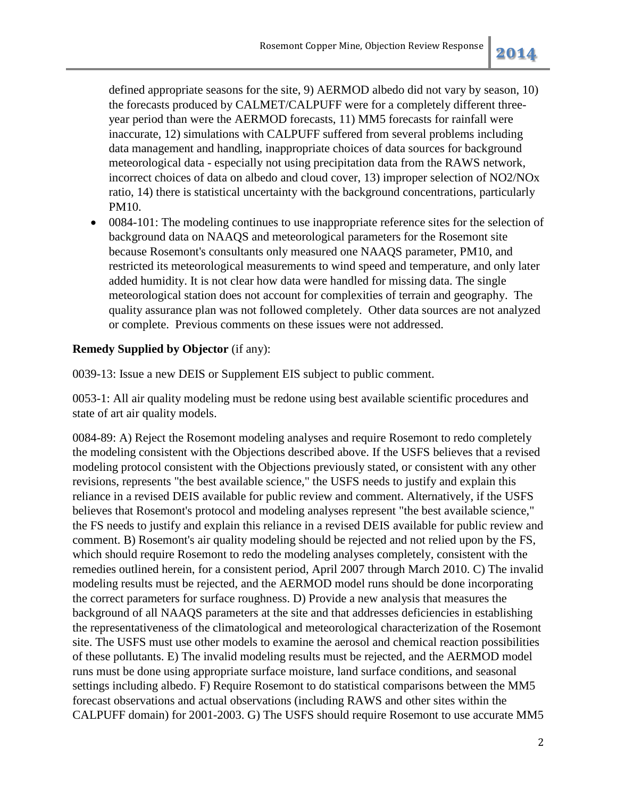defined appropriate seasons for the site, 9) AERMOD albedo did not vary by season, 10) the forecasts produced by CALMET/CALPUFF were for a completely different threeyear period than were the AERMOD forecasts, 11) MM5 forecasts for rainfall were inaccurate, 12) simulations with CALPUFF suffered from several problems including data management and handling, inappropriate choices of data sources for background meteorological data - especially not using precipitation data from the RAWS network, incorrect choices of data on albedo and cloud cover, 13) improper selection of NO2/NOx ratio, 14) there is statistical uncertainty with the background concentrations, particularly PM10.

• 0084-101: The modeling continues to use inappropriate reference sites for the selection of background data on NAAQS and meteorological parameters for the Rosemont site because Rosemont's consultants only measured one NAAQS parameter, PM10, and restricted its meteorological measurements to wind speed and temperature, and only later added humidity. It is not clear how data were handled for missing data. The single meteorological station does not account for complexities of terrain and geography. The quality assurance plan was not followed completely. Other data sources are not analyzed or complete. Previous comments on these issues were not addressed.

## **Remedy Supplied by Objector** (if any):

0039-13: Issue a new DEIS or Supplement EIS subject to public comment.

0053-1: All air quality modeling must be redone using best available scientific procedures and state of art air quality models.

0084-89: A) Reject the Rosemont modeling analyses and require Rosemont to redo completely the modeling consistent with the Objections described above. If the USFS believes that a revised modeling protocol consistent with the Objections previously stated, or consistent with any other revisions, represents "the best available science," the USFS needs to justify and explain this reliance in a revised DEIS available for public review and comment. Alternatively, if the USFS believes that Rosemont's protocol and modeling analyses represent "the best available science," the FS needs to justify and explain this reliance in a revised DEIS available for public review and comment. B) Rosemont's air quality modeling should be rejected and not relied upon by the FS, which should require Rosemont to redo the modeling analyses completely, consistent with the remedies outlined herein, for a consistent period, April 2007 through March 2010. C) The invalid modeling results must be rejected, and the AERMOD model runs should be done incorporating the correct parameters for surface roughness. D) Provide a new analysis that measures the background of all NAAQS parameters at the site and that addresses deficiencies in establishing the representativeness of the climatological and meteorological characterization of the Rosemont site. The USFS must use other models to examine the aerosol and chemical reaction possibilities of these pollutants. E) The invalid modeling results must be rejected, and the AERMOD model runs must be done using appropriate surface moisture, land surface conditions, and seasonal settings including albedo. F) Require Rosemont to do statistical comparisons between the MM5 forecast observations and actual observations (including RAWS and other sites within the CALPUFF domain) for 2001-2003. G) The USFS should require Rosemont to use accurate MM5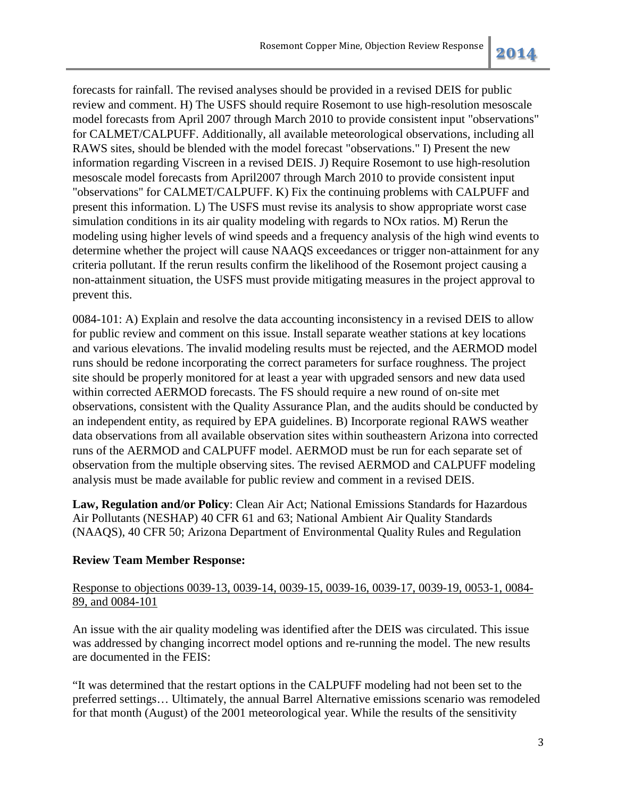forecasts for rainfall. The revised analyses should be provided in a revised DEIS for public review and comment. H) The USFS should require Rosemont to use high-resolution mesoscale model forecasts from April 2007 through March 2010 to provide consistent input "observations" for CALMET/CALPUFF. Additionally, all available meteorological observations, including all RAWS sites, should be blended with the model forecast "observations." I) Present the new information regarding Viscreen in a revised DEIS. J) Require Rosemont to use high-resolution mesoscale model forecasts from April2007 through March 2010 to provide consistent input "observations" for CALMET/CALPUFF. K) Fix the continuing problems with CALPUFF and present this information. L) The USFS must revise its analysis to show appropriate worst case simulation conditions in its air quality modeling with regards to NOx ratios. M) Rerun the modeling using higher levels of wind speeds and a frequency analysis of the high wind events to determine whether the project will cause NAAQS exceedances or trigger non-attainment for any criteria pollutant. If the rerun results confirm the likelihood of the Rosemont project causing a non-attainment situation, the USFS must provide mitigating measures in the project approval to prevent this.

0084-101: A) Explain and resolve the data accounting inconsistency in a revised DEIS to allow for public review and comment on this issue. Install separate weather stations at key locations and various elevations. The invalid modeling results must be rejected, and the AERMOD model runs should be redone incorporating the correct parameters for surface roughness. The project site should be properly monitored for at least a year with upgraded sensors and new data used within corrected AERMOD forecasts. The FS should require a new round of on-site met observations, consistent with the Quality Assurance Plan, and the audits should be conducted by an independent entity, as required by EPA guidelines. B) Incorporate regional RAWS weather data observations from all available observation sites within southeastern Arizona into corrected runs of the AERMOD and CALPUFF model. AERMOD must be run for each separate set of observation from the multiple observing sites. The revised AERMOD and CALPUFF modeling analysis must be made available for public review and comment in a revised DEIS.

**Law, Regulation and/or Policy**: Clean Air Act; National Emissions Standards for Hazardous Air Pollutants (NESHAP) 40 CFR 61 and 63; National Ambient Air Quality Standards (NAAQS), 40 CFR 50; Arizona Department of Environmental Quality Rules and Regulation

## **Review Team Member Response:**

## Response to objections 0039-13, 0039-14, 0039-15, 0039-16, 0039-17, 0039-19, 0053-1, 0084- 89, and 0084-101

An issue with the air quality modeling was identified after the DEIS was circulated. This issue was addressed by changing incorrect model options and re-running the model. The new results are documented in the FEIS:

"It was determined that the restart options in the CALPUFF modeling had not been set to the preferred settings… Ultimately, the annual Barrel Alternative emissions scenario was remodeled for that month (August) of the 2001 meteorological year. While the results of the sensitivity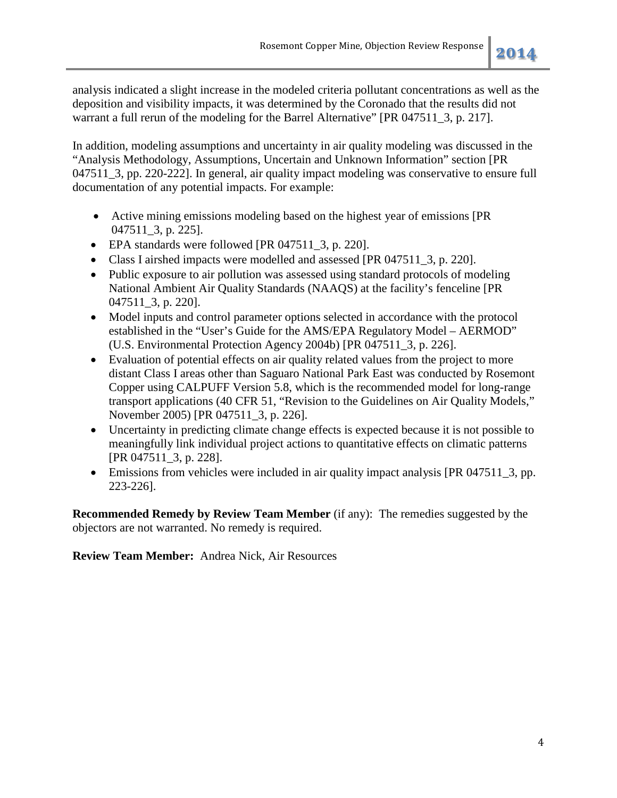analysis indicated a slight increase in the modeled criteria pollutant concentrations as well as the deposition and visibility impacts, it was determined by the Coronado that the results did not warrant a full rerun of the modeling for the Barrel Alternative" [PR 047511 3, p. 217].

In addition, modeling assumptions and uncertainty in air quality modeling was discussed in the "Analysis Methodology, Assumptions, Uncertain and Unknown Information" section [PR 047511\_3, pp. 220-222]. In general, air quality impact modeling was conservative to ensure full documentation of any potential impacts. For example:

- Active mining emissions modeling based on the highest year of emissions [PR 047511\_3, p. 225].
- EPA standards were followed [PR 047511 3, p. 220].
- Class I airshed impacts were modelled and assessed [PR 047511\_3, p. 220].
- Public exposure to air pollution was assessed using standard protocols of modeling National Ambient Air Quality Standards (NAAQS) at the facility's fenceline [PR 047511\_3, p. 220].
- Model inputs and control parameter options selected in accordance with the protocol established in the "User's Guide for the AMS/EPA Regulatory Model – AERMOD" (U.S. Environmental Protection Agency 2004b) [PR 047511\_3, p. 226].
- Evaluation of potential effects on air quality related values from the project to more distant Class I areas other than Saguaro National Park East was conducted by Rosemont Copper using CALPUFF Version 5.8, which is the recommended model for long-range transport applications (40 CFR 51, "Revision to the Guidelines on Air Quality Models," November 2005) [PR 047511\_3, p. 226].
- Uncertainty in predicting climate change effects is expected because it is not possible to meaningfully link individual project actions to quantitative effects on climatic patterns [PR 047511\_3, p. 228].
- Emissions from vehicles were included in air quality impact analysis [PR 047511 3, pp. 223-226].

**Recommended Remedy by Review Team Member** (if any): The remedies suggested by the objectors are not warranted. No remedy is required.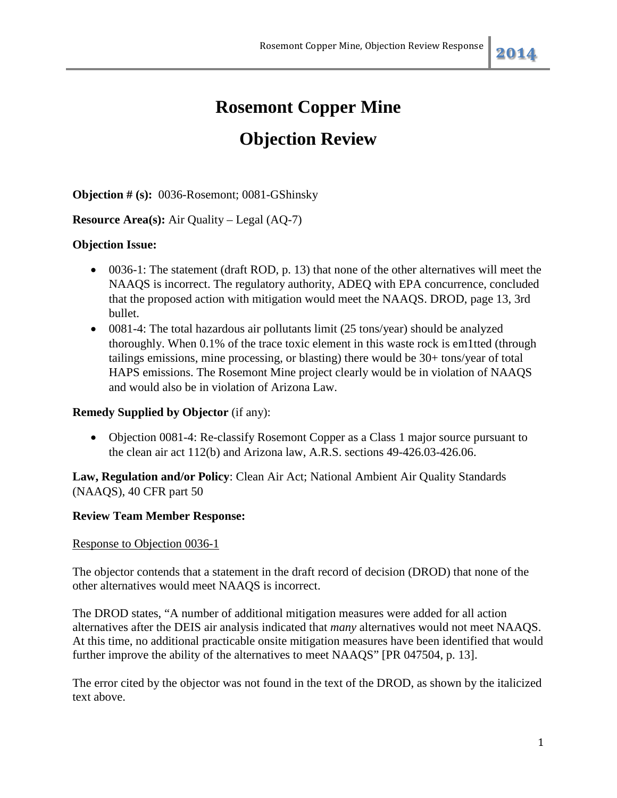## **Objection Review**

**Objection # (s):** 0036-Rosemont; 0081-GShinsky

## **Resource Area(s):** Air Quality – Legal (AQ-7)

## **Objection Issue:**

- 0036-1: The statement (draft ROD, p. 13) that none of the other alternatives will meet the NAAQS is incorrect. The regulatory authority, ADEQ with EPA concurrence, concluded that the proposed action with mitigation would meet the NAAQS. DROD, page 13, 3rd bullet.
- 0081-4: The total hazardous air pollutants limit (25 tons/year) should be analyzed thoroughly. When 0.1% of the trace toxic element in this waste rock is em1tted (through tailings emissions, mine processing, or blasting) there would be 30+ tons/year of total HAPS emissions. The Rosemont Mine project clearly would be in violation of NAAQS and would also be in violation of Arizona Law.

## **Remedy Supplied by Objector** (if any):

• Objection 0081-4: Re-classify Rosemont Copper as a Class 1 major source pursuant to the clean air act 112(b) and Arizona law, A.R.S. sections 49-426.03-426.06.

**Law, Regulation and/or Policy**: Clean Air Act; National Ambient Air Quality Standards (NAAQS), 40 CFR part 50

## **Review Team Member Response:**

## Response to Objection 0036-1

The objector contends that a statement in the draft record of decision (DROD) that none of the other alternatives would meet NAAQS is incorrect.

The DROD states, "A number of additional mitigation measures were added for all action alternatives after the DEIS air analysis indicated that *many* alternatives would not meet NAAQS. At this time, no additional practicable onsite mitigation measures have been identified that would further improve the ability of the alternatives to meet NAAQS" [PR 047504, p. 13].

The error cited by the objector was not found in the text of the DROD, as shown by the italicized text above.